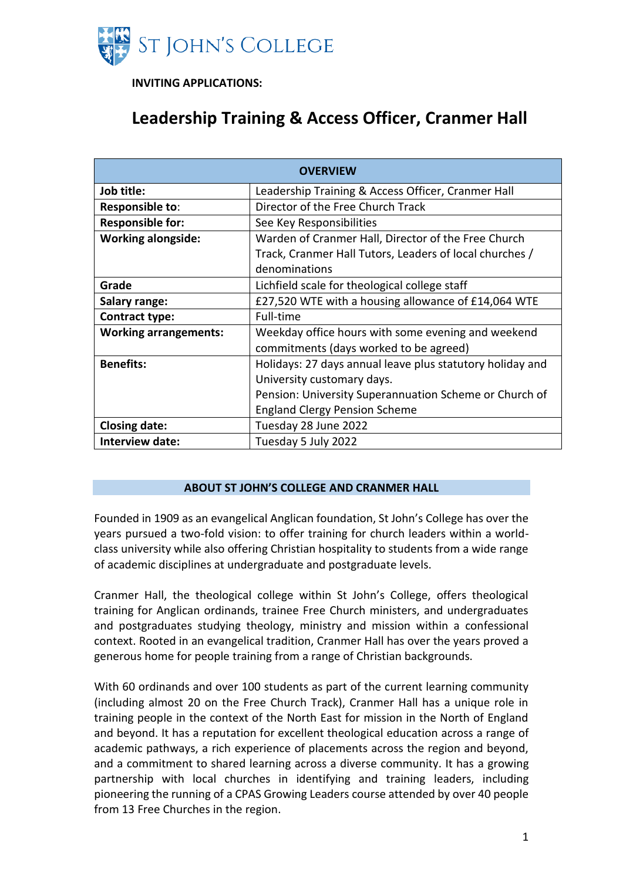

**INVITING APPLICATIONS:**

# **Leadership Training & Access Officer, Cranmer Hall**

| <b>OVERVIEW</b>              |                                                           |  |  |  |
|------------------------------|-----------------------------------------------------------|--|--|--|
| Job title:                   | Leadership Training & Access Officer, Cranmer Hall        |  |  |  |
| Responsible to:              | Director of the Free Church Track                         |  |  |  |
| <b>Responsible for:</b>      | See Key Responsibilities                                  |  |  |  |
| <b>Working alongside:</b>    | Warden of Cranmer Hall, Director of the Free Church       |  |  |  |
|                              | Track, Cranmer Hall Tutors, Leaders of local churches /   |  |  |  |
|                              | denominations                                             |  |  |  |
| Grade                        | Lichfield scale for theological college staff             |  |  |  |
| Salary range:                | £27,520 WTE with a housing allowance of £14,064 WTE       |  |  |  |
| Contract type:               | Full-time                                                 |  |  |  |
| <b>Working arrangements:</b> | Weekday office hours with some evening and weekend        |  |  |  |
|                              | commitments (days worked to be agreed)                    |  |  |  |
| <b>Benefits:</b>             | Holidays: 27 days annual leave plus statutory holiday and |  |  |  |
|                              | University customary days.                                |  |  |  |
|                              | Pension: University Superannuation Scheme or Church of    |  |  |  |
|                              | <b>England Clergy Pension Scheme</b>                      |  |  |  |
| <b>Closing date:</b>         | Tuesday 28 June 2022                                      |  |  |  |
| Interview date:              | Tuesday 5 July 2022                                       |  |  |  |

# **ABOUT ST JOHN'S COLLEGE AND CRANMER HALL**

Founded in 1909 as an evangelical Anglican foundation, St John's College has over the years pursued a two-fold vision: to offer training for church leaders within a worldclass university while also offering Christian hospitality to students from a wide range of academic disciplines at undergraduate and postgraduate levels.

Cranmer Hall, the theological college within St John's College, offers theological training for Anglican ordinands, trainee Free Church ministers, and undergraduates and postgraduates studying theology, ministry and mission within a confessional context. Rooted in an evangelical tradition, Cranmer Hall has over the years proved a generous home for people training from a range of Christian backgrounds.

With 60 ordinands and over 100 students as part of the current learning community (including almost 20 on the Free Church Track), Cranmer Hall has a unique role in training people in the context of the North East for mission in the North of England and beyond. It has a reputation for excellent theological education across a range of academic pathways, a rich experience of placements across the region and beyond, and a commitment to shared learning across a diverse community. It has a growing partnership with local churches in identifying and training leaders, including pioneering the running of a CPAS Growing Leaders course attended by over 40 people from 13 Free Churches in the region.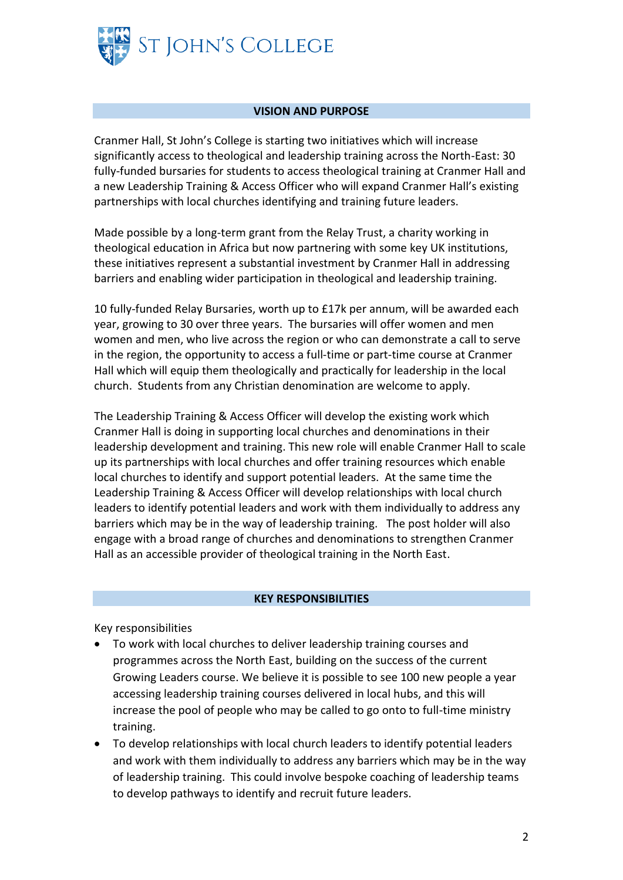

#### **VISION AND PURPOSE**

Cranmer Hall, St John's College is starting two initiatives which will increase significantly access to theological and leadership training across the North-East: 30 fully-funded bursaries for students to access theological training at Cranmer Hall and a new Leadership Training & Access Officer who will expand Cranmer Hall's existing partnerships with local churches identifying and training future leaders.

Made possible by a long-term grant from the Relay Trust, a charity working in theological education in Africa but now partnering with some key UK institutions, these initiatives represent a substantial investment by Cranmer Hall in addressing barriers and enabling wider participation in theological and leadership training.

10 fully-funded Relay Bursaries, worth up to £17k per annum, will be awarded each year, growing to 30 over three years. The bursaries will offer women and men women and men, who live across the region or who can demonstrate a call to serve in the region, the opportunity to access a full-time or part-time course at Cranmer Hall which will equip them theologically and practically for leadership in the local church. Students from any Christian denomination are welcome to apply.

The Leadership Training & Access Officer will develop the existing work which Cranmer Hall is doing in supporting local churches and denominations in their leadership development and training. This new role will enable Cranmer Hall to scale up its partnerships with local churches and offer training resources which enable local churches to identify and support potential leaders. At the same time the Leadership Training & Access Officer will develop relationships with local church leaders to identify potential leaders and work with them individually to address any barriers which may be in the way of leadership training. The post holder will also engage with a broad range of churches and denominations to strengthen Cranmer Hall as an accessible provider of theological training in the North East.

#### **KEY RESPONSIBILITIES**

Key responsibilities

- To work with local churches to deliver leadership training courses and programmes across the North East, building on the success of the current Growing Leaders course. We believe it is possible to see 100 new people a year accessing leadership training courses delivered in local hubs, and this will increase the pool of people who may be called to go onto to full-time ministry training.
- To develop relationships with local church leaders to identify potential leaders and work with them individually to address any barriers which may be in the way of leadership training. This could involve bespoke coaching of leadership teams to develop pathways to identify and recruit future leaders.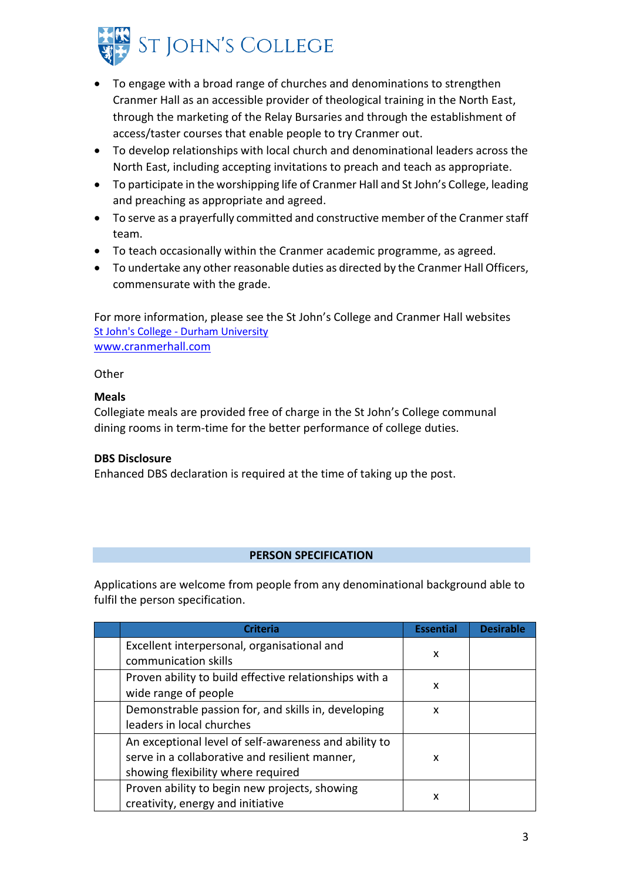

- To engage with a broad range of churches and denominations to strengthen Cranmer Hall as an accessible provider of theological training in the North East, through the marketing of the Relay Bursaries and through the establishment of access/taster courses that enable people to try Cranmer out.
- To develop relationships with local church and denominational leaders across the North East, including accepting invitations to preach and teach as appropriate.
- To participate in the worshipping life of Cranmer Hall and St John's College, leading and preaching as appropriate and agreed.
- To serve as a prayerfully committed and constructive member of the Cranmer staff team.
- To teach occasionally within the Cranmer academic programme, as agreed.
- To undertake any other reasonable duties as directed by the Cranmer Hall Officers, commensurate with the grade.

For more information, please see the St John's College and Cranmer Hall websites St John's College - [Durham University](https://www.durham.ac.uk/colleges-and-student-experience/colleges/st-johns/) [www.cranmerhall.com](https://community.dur.ac.uk/cranmer.hall/)

**Other** 

## **Meals**

Collegiate meals are provided free of charge in the St John's College communal dining rooms in term-time for the better performance of college duties.

# **DBS Disclosure**

Enhanced DBS declaration is required at the time of taking up the post.

### **PERSON SPECIFICATION**

Applications are welcome from people from any denominational background able to fulfil the person specification.

| <b>Criteria</b>                                                                                                                               | <b>Essential</b> | <b>Desirable</b> |
|-----------------------------------------------------------------------------------------------------------------------------------------------|------------------|------------------|
| Excellent interpersonal, organisational and<br>communication skills                                                                           | x                |                  |
| Proven ability to build effective relationships with a<br>wide range of people                                                                | x                |                  |
| Demonstrable passion for, and skills in, developing<br>leaders in local churches                                                              | X                |                  |
| An exceptional level of self-awareness and ability to<br>serve in a collaborative and resilient manner,<br>showing flexibility where required | x                |                  |
| Proven ability to begin new projects, showing<br>creativity, energy and initiative                                                            | x                |                  |